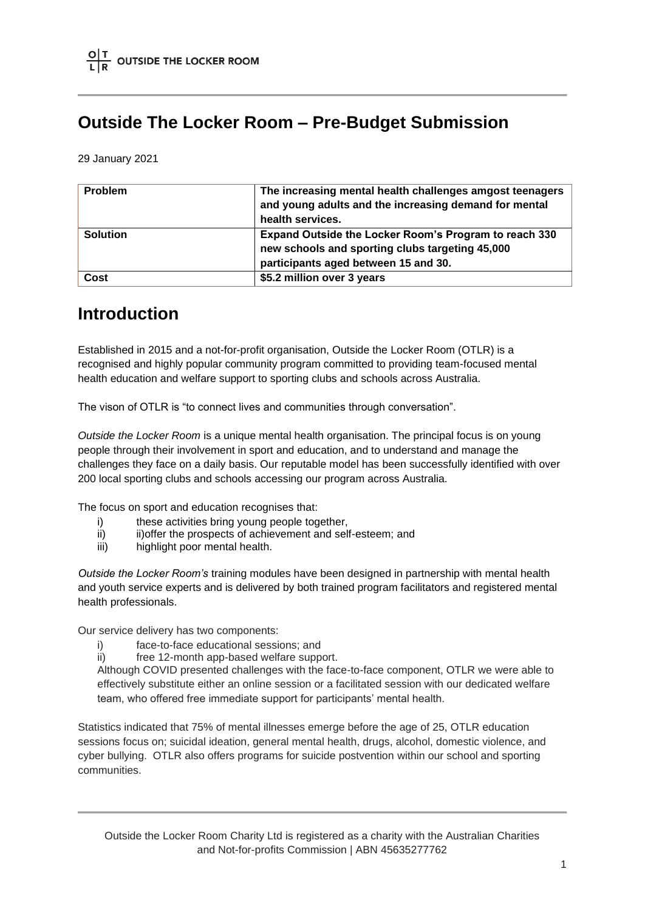### **Outside The Locker Room – Pre-Budget Submission**

29 January 2021

| <b>Problem</b>  | The increasing mental health challenges amgost teenagers<br>and young adults and the increasing demand for mental<br>health services.            |
|-----------------|--------------------------------------------------------------------------------------------------------------------------------------------------|
| <b>Solution</b> | Expand Outside the Locker Room's Program to reach 330<br>new schools and sporting clubs targeting 45,000<br>participants aged between 15 and 30. |
| <b>Cost</b>     | \$5.2 million over 3 years                                                                                                                       |

### **Introduction**

Established in 2015 and a not-for-profit organisation, Outside the Locker Room (OTLR) is a recognised and highly popular community program committed to providing team-focused mental health education and welfare support to sporting clubs and schools across Australia.

The vison of OTLR is "to connect lives and communities through conversation".

*Outside the Locker Room* is a unique mental health organisation. The principal focus is on young people through their involvement in sport and education, and to understand and manage the challenges they face on a daily basis. Our reputable model has been successfully identified with over 200 local sporting clubs and schools accessing our program across Australia.

The focus on sport and education recognises that:

- i) these activities bring young people together,
- ii) iii) iii) iii) iii) iii) if the prospects of achievement and self-esteem; and
- iii) highlight poor mental health.

*Outside the Locker Room's* training modules have been designed in partnership with mental health and youth service experts and is delivered by both trained program facilitators and registered mental health professionals.

Our service delivery has two components:

- i) face-to-face educational sessions; and
- ii) free 12-month app-based welfare support.

Although COVID presented challenges with the face-to-face component, OTLR we were able to effectively substitute either an online session or a facilitated session with our dedicated welfare team, who offered free immediate support for participants' mental health.

Statistics indicated that 75% of mental illnesses emerge before the age of 25, OTLR education sessions focus on; suicidal ideation, general mental health, drugs, alcohol, domestic violence, and cyber bullying. OTLR also offers programs for suicide postvention within our school and sporting communities.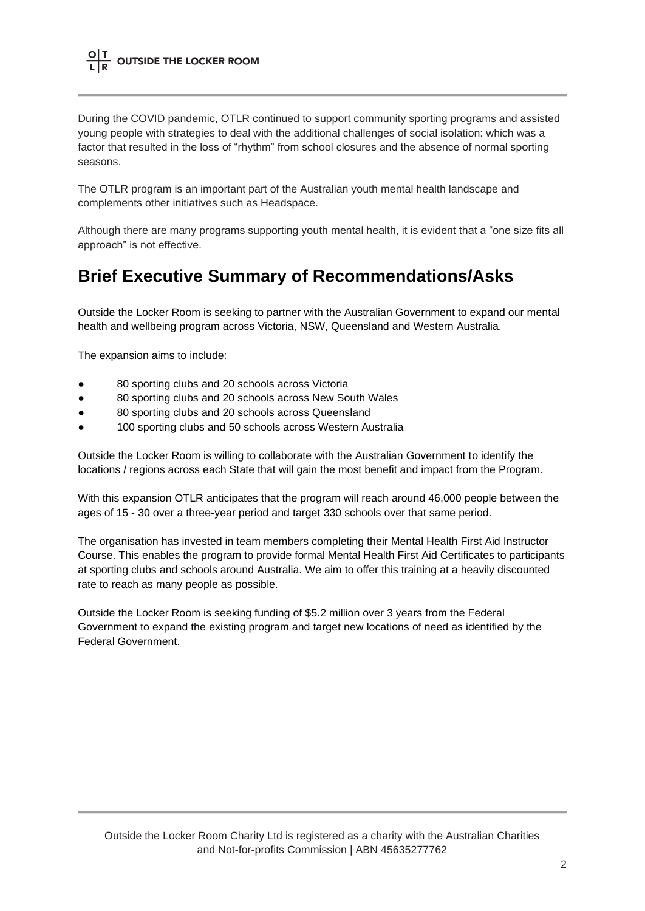During the COVID pandemic, OTLR continued to support community sporting programs and assisted young people with strategies to deal with the additional challenges of social isolation: which was a factor that resulted in the loss of "rhythm" from school closures and the absence of normal sporting seasons.

The OTLR program is an important part of the Australian youth mental health landscape and complements other initiatives such as Headspace.

Although there are many programs supporting youth mental health, it is evident that a "one size fits all approach" is not effective.

### **Brief Executive Summary of Recommendations/Asks**

Outside the Locker Room is seeking to partner with the Australian Government to expand our mental health and wellbeing program across Victoria, NSW, Queensland and Western Australia.

The expansion aims to include:

- 80 sporting clubs and 20 schools across Victoria
- 80 sporting clubs and 20 schools across New South Wales
- 80 sporting clubs and 20 schools across Queensland
- 100 sporting clubs and 50 schools across Western Australia

Outside the Locker Room is willing to collaborate with the Australian Government to identify the locations / regions across each State that will gain the most benefit and impact from the Program.

With this expansion OTLR anticipates that the program will reach around 46,000 people between the ages of 15 - 30 over a three-year period and target 330 schools over that same period.

The organisation has invested in team members completing their Mental Health First Aid Instructor Course. This enables the program to provide formal Mental Health First Aid Certificates to participants at sporting clubs and schools around Australia. We aim to offer this training at a heavily discounted rate to reach as many people as possible.

Outside the Locker Room is seeking funding of \$5.2 million over 3 years from the Federal Government to expand the existing program and target new locations of need as identified by the Federal Government.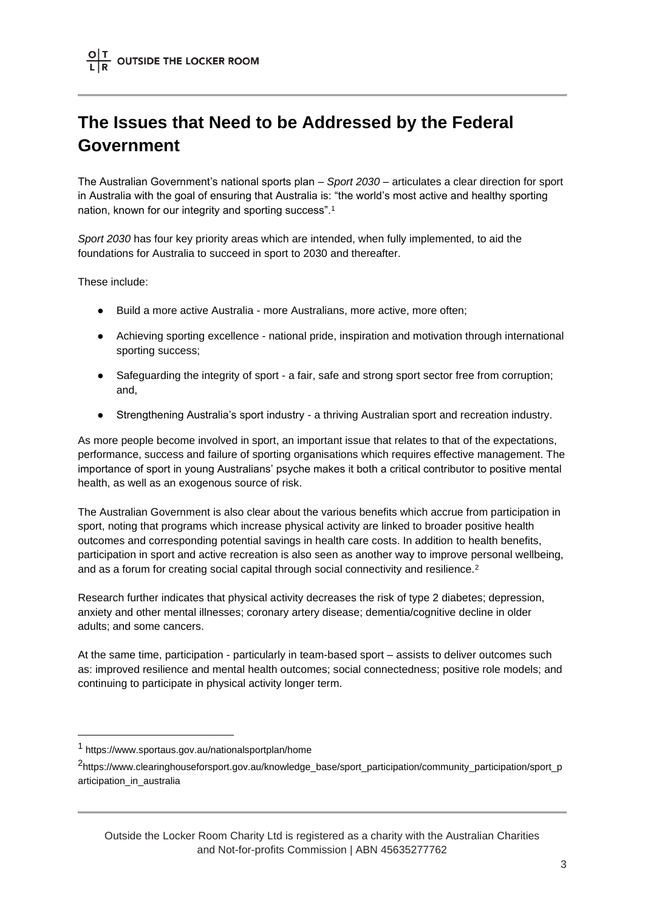## **The Issues that Need to be Addressed by the Federal Government**

The Australian Government's national sports plan – *Sport 2030* – articulates a clear direction for sport in Australia with the goal of ensuring that Australia is: "the world's most active and healthy sporting nation, known for our integrity and sporting success".<sup>1</sup>

*Sport 2030* has four key priority areas which are intended, when fully implemented, to aid the foundations for Australia to succeed in sport to 2030 and thereafter.

These include:

- Build a more active Australia more Australians, more active, more often;
- Achieving sporting excellence national pride, inspiration and motivation through international sporting success;
- Safeguarding the integrity of sport a fair, safe and strong sport sector free from corruption; and,
- Strengthening Australia's sport industry a thriving Australian sport and recreation industry.

As more people become involved in sport, an important issue that relates to that of the expectations, performance, success and failure of sporting organisations which requires effective management. The importance of sport in young Australians' psyche makes it both a critical contributor to positive mental health, as well as an exogenous source of risk.

The Australian Government is also clear about the various benefits which accrue from participation in sport, noting that programs which increase physical activity are linked to broader positive health outcomes and corresponding potential savings in health care costs. In addition to health benefits, participation in sport and active recreation is also seen as another way to improve personal wellbeing, and as a forum for creating social capital through social connectivity and resilience.<sup>2</sup>

Research further indicates that physical activity decreases the risk of type 2 diabetes; depression, anxiety and other mental illnesses; coronary artery disease; dementia/cognitive decline in older adults; and some cancers.

At the same time, participation - particularly in team-based sport – assists to deliver outcomes such as: improved resilience and mental health outcomes; social connectedness; positive role models; and continuing to participate in physical activity longer term.

<sup>1</sup> https://www.sportaus.gov.au/nationalsportplan/home

<sup>2</sup> https://www.clearinghouseforsport.gov.au/knowledge\_base/sport\_participation/community\_participation/sport\_p articipation\_in\_australia

Outside the Locker Room Charity Ltd is registered as a charity with the Australian Charities and Not-for-profits Commission | ABN 45635277762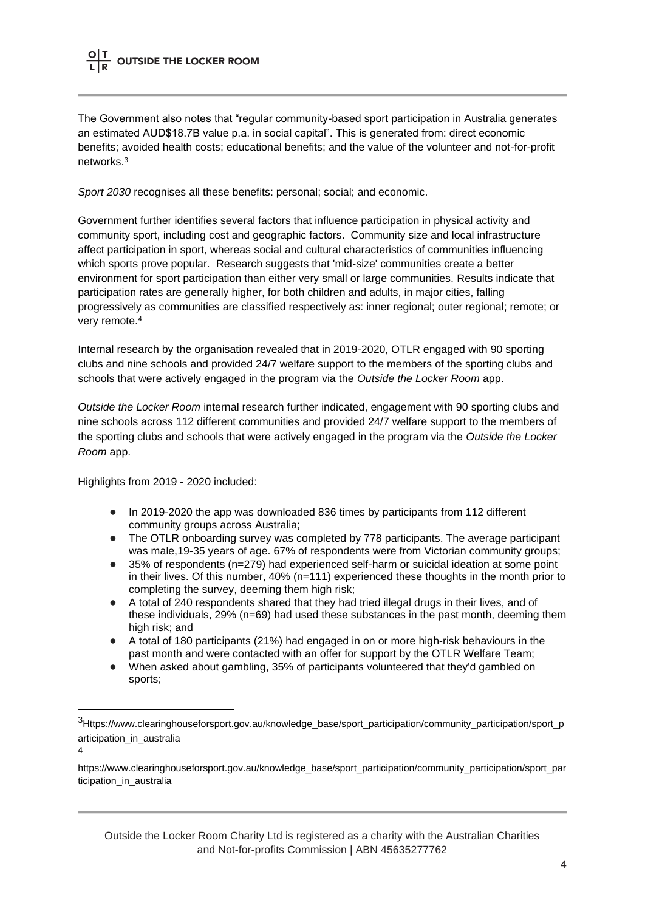The Government also notes that "regular community-based sport participation in Australia generates an estimated AUD\$18.7B value p.a. in social capital". This is generated from: direct economic benefits; avoided health costs; educational benefits; and the value of the volunteer and not-for-profit networks.<sup>3</sup>

*Sport 2030* recognises all these benefits: personal; social; and economic.

Government further identifies several factors that influence participation in physical activity and community sport, including cost and geographic factors. Community size and local infrastructure affect participation in sport, whereas social and cultural characteristics of communities influencing which sports prove popular. Research suggests that 'mid-size' communities create a better environment for sport participation than either very small or large communities. Results indicate that participation rates are generally higher, for both children and adults, in major cities, falling progressively as communities are classified respectively as: inner regional; outer regional; remote; or very remote.<sup>4</sup>

Internal research by the organisation revealed that in 2019-2020, OTLR engaged with 90 sporting clubs and nine schools and provided 24/7 welfare support to the members of the sporting clubs and schools that were actively engaged in the program via the *Outside the Locker Room* app.

*Outside the Locker Room* internal research further indicated, engagement with 90 sporting clubs and nine schools across 112 different communities and provided 24/7 welfare support to the members of the sporting clubs and schools that were actively engaged in the program via the *Outside the Locker Room* app.

Highlights from 2019 - 2020 included:

- In 2019-2020 the app was downloaded 836 times by participants from 112 different community groups across Australia;
- The OTLR onboarding survey was completed by 778 participants. The average participant was male,19-35 years of age. 67% of respondents were from Victorian community groups;
- 35% of respondents (n=279) had experienced self-harm or suicidal ideation at some point in their lives. Of this number, 40% (n=111) experienced these thoughts in the month prior to completing the survey, deeming them high risk;
- A total of 240 respondents shared that they had tried illegal drugs in their lives, and of these individuals, 29% (n=69) had used these substances in the past month, deeming them high risk; and
- A total of 180 participants (21%) had engaged in on or more high-risk behaviours in the past month and were contacted with an offer for support by the OTLR Welfare Team;
- When asked about gambling, 35% of participants volunteered that they'd gambled on sports;

Outside the Locker Room Charity Ltd is registered as a charity with the Australian Charities and Not-for-profits Commission | ABN 45635277762

<sup>3</sup>Https://www.clearinghouseforsport.gov.au/knowledge\_base/sport\_participation/community\_participation/sport\_p articipation in australia

<sup>4</sup>

https://www.clearinghouseforsport.gov.au/knowledge\_base/sport\_participation/community\_participation/sport\_par ticipation in australia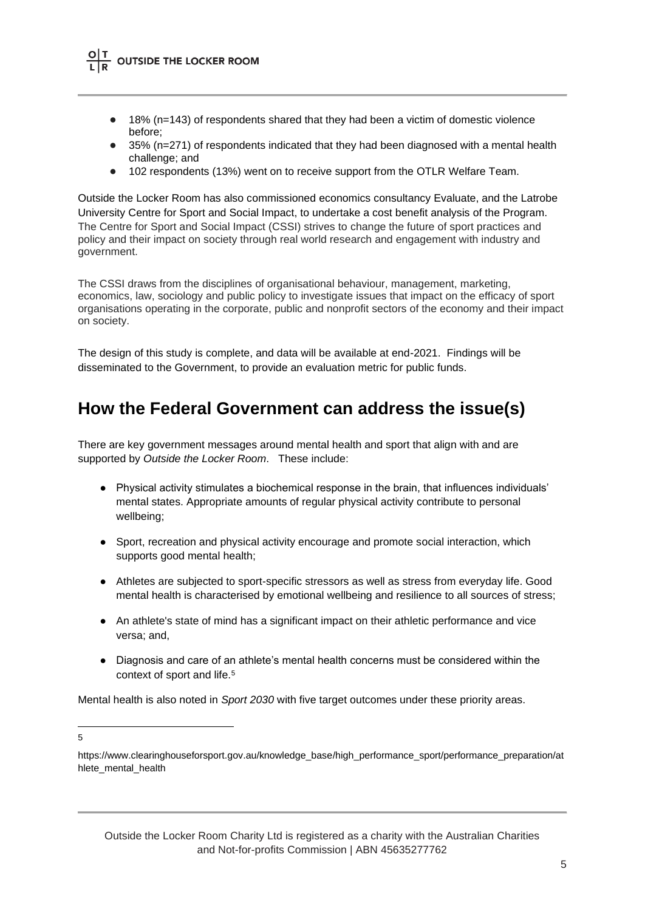- 18% (n=143) of respondents shared that they had been a victim of domestic violence before;
- 35% (n=271) of respondents indicated that they had been diagnosed with a mental health challenge; and
- 102 respondents (13%) went on to receive support from the OTLR Welfare Team.

Outside the Locker Room has also commissioned economics consultancy Evaluate, and the Latrobe University Centre for Sport and Social Impact, to undertake a cost benefit analysis of the Program. The Centre for Sport and Social Impact (CSSI) strives to change the future of sport practices and policy and their impact on society through real world research and engagement with industry and government.

The CSSI draws from the disciplines of organisational behaviour, management, marketing, economics, law, sociology and public policy to investigate issues that impact on the efficacy of sport organisations operating in the corporate, public and nonprofit sectors of the economy and their impact on society.

The design of this study is complete, and data will be available at end-2021. Findings will be disseminated to the Government, to provide an evaluation metric for public funds.

### **How the Federal Government can address the issue(s)**

There are key government messages around mental health and sport that align with and are supported by *Outside the Locker Room*. These include:

- Physical activity stimulates a biochemical response in the brain, that influences individuals' mental states. Appropriate amounts of regular physical activity contribute to personal wellbeing;
- Sport, recreation and physical activity encourage and promote social interaction, which supports good mental health;
- Athletes are subjected to sport-specific stressors as well as stress from everyday life. Good mental health is characterised by emotional wellbeing and resilience to all sources of stress;
- An athlete's state of mind has a significant impact on their athletic performance and vice versa; and,
- Diagnosis and care of an athlete's mental health concerns must be considered within the context of sport and life.<sup>5</sup>

Mental health is also noted in *Sport 2030* with five target outcomes under these priority areas.

<sup>5</sup>

https://www.clearinghouseforsport.gov.au/knowledge\_base/high\_performance\_sport/performance\_preparation/at hlete mental health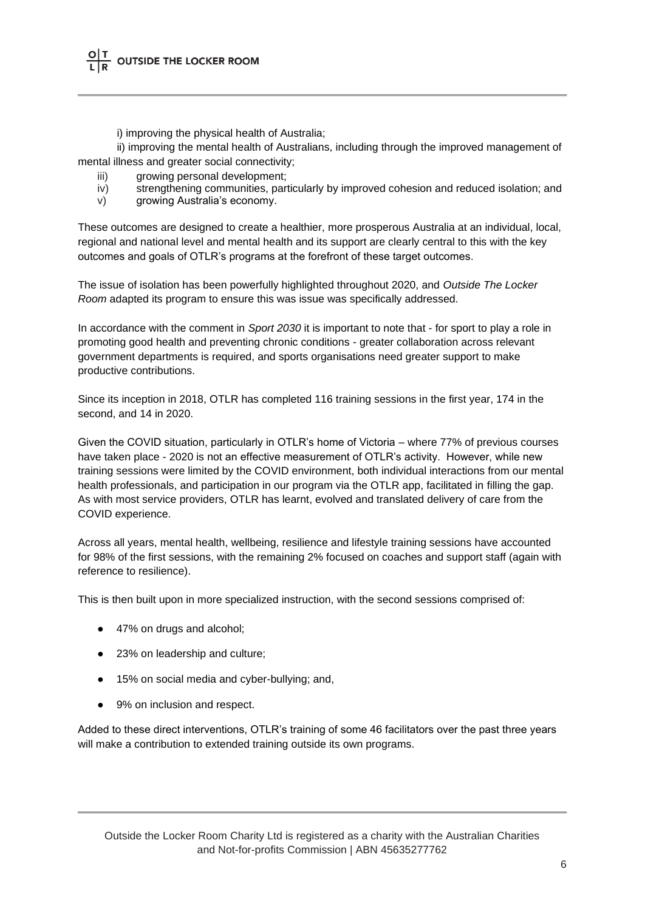i) improving the physical health of Australia;

ii) improving the mental health of Australians, including through the improved management of mental illness and greater social connectivity;

- iii) growing personal development:
- iv) strengthening communities, particularly by improved cohesion and reduced isolation; and
- v) growing Australia's economy.

These outcomes are designed to create a healthier, more prosperous Australia at an individual, local, regional and national level and mental health and its support are clearly central to this with the key outcomes and goals of OTLR's programs at the forefront of these target outcomes.

The issue of isolation has been powerfully highlighted throughout 2020, and *Outside The Locker Room* adapted its program to ensure this was issue was specifically addressed.

In accordance with the comment in *Sport 2030* it is important to note that - for sport to play a role in promoting good health and preventing chronic conditions - greater collaboration across relevant government departments is required, and sports organisations need greater support to make productive contributions.

Since its inception in 2018, OTLR has completed 116 training sessions in the first year, 174 in the second, and 14 in 2020.

Given the COVID situation, particularly in OTLR's home of Victoria – where 77% of previous courses have taken place - 2020 is not an effective measurement of OTLR's activity. However, while new training sessions were limited by the COVID environment, both individual interactions from our mental health professionals, and participation in our program via the OTLR app, facilitated in filling the gap. As with most service providers, OTLR has learnt, evolved and translated delivery of care from the COVID experience.

Across all years, mental health, wellbeing, resilience and lifestyle training sessions have accounted for 98% of the first sessions, with the remaining 2% focused on coaches and support staff (again with reference to resilience).

This is then built upon in more specialized instruction, with the second sessions comprised of:

- 47% on drugs and alcohol;
- 23% on leadership and culture;
- 15% on social media and cyber-bullying; and,
- 9% on inclusion and respect.

Added to these direct interventions, OTLR's training of some 46 facilitators over the past three years will make a contribution to extended training outside its own programs.